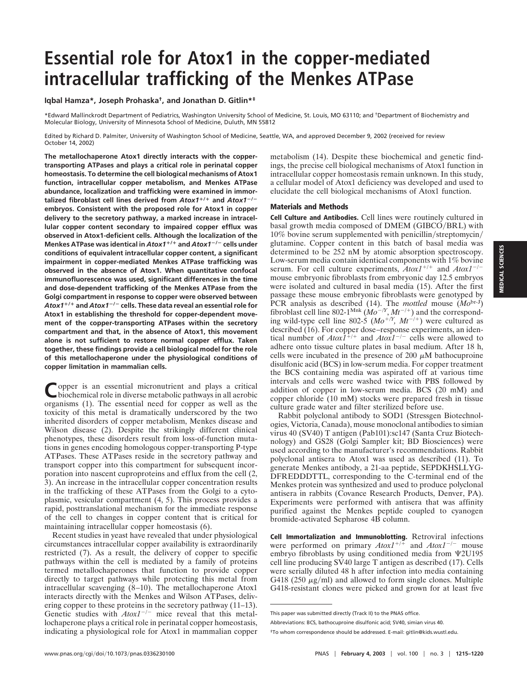## **Essential role for Atox1 in the copper-mediated intracellular trafficking of the Menkes ATPase**

**Iqbal Hamza\*, Joseph Prohaska†, and Jonathan D. Gitlin\*‡**

\*Edward Mallinckrodt Department of Pediatrics, Washington University School of Medicine, St. Louis, MO 63110; and †Department of Biochemistry and Molecular Biology, University of Minnesota School of Medicine, Duluth, MN 55812

Edited by Richard D. Palmiter, University of Washington School of Medicine, Seattle, WA, and approved December 9, 2002 (received for review October 14, 2002)

**The metallochaperone Atox1 directly interacts with the coppertransporting ATPases and plays a critical role in perinatal copper homeostasis. To determine the cell biological mechanisms of Atox1 function, intracellular copper metabolism, and Menkes ATPase abundance, localization and trafficking were examined in immortalized fibroblast cell lines derived from** *Atox1***/ and** *Atox1*-**/ embryos. Consistent with the proposed role for Atox1 in copper delivery to the secretory pathway, a marked increase in intracellular copper content secondary to impaired copper efflux was observed in Atox1-deficient cells. Although the localization of the Menkes ATPase was identical in** *Atox1***/ and** *Atox1*-**/**- **cells under conditions of equivalent intracellular copper content, a significant impairment in copper-mediated Menkes ATPase trafficking was observed in the absence of Atox1. When quantitative confocal immunofluorescence was used, significant differences in the time and dose-dependent trafficking of the Menkes ATPase from the Golgi compartment in response to copper were observed between** *Atox1***/ and** *Atox1*-**/**- **cells. These data reveal an essential role for Atox1 in establishing the threshold for copper-dependent movement of the copper-transporting ATPases within the secretory compartment and that, in the absence of Atox1, this movement alone is not sufficient to restore normal copper efflux. Taken together, these findings provide a cell biological model for the role of this metallochaperone under the physiological conditions of copper limitation in mammalian cells.**

Copper is an essential micronutrient and plays a critical biochemical role in diverse metabolic pathways in all aerobic organisms (1). The essential need for copper as well as the toxicity of this metal is dramatically underscored by the two inherited disorders of copper metabolism, Menkes disease and Wilson disease (2). Despite the strikingly different clinical phenotypes, these disorders result from loss-of-function mutations in genes encoding homologous copper-transporting P-type ATPases. These ATPases reside in the secretory pathway and transport copper into this compartment for subsequent incorporation into nascent cuproproteins and efflux from the cell (2, 3). An increase in the intracellular copper concentration results in the trafficking of these ATPases from the Golgi to a cytoplasmic, vesicular compartment (4, 5). This process provides a rapid, posttranslational mechanism for the immediate response of the cell to changes in copper content that is critical for maintaining intracellular copper homeostasis (6).

Recent studies in yeast have revealed that under physiological circumstances intracellular copper availability is extraordinarily restricted (7). As a result, the delivery of copper to specific pathways within the cell is mediated by a family of proteins termed metallochaperones that function to provide copper directly to target pathways while protecting this metal from intracellular scavenging (8–10). The metallochaperone Atox1 interacts directly with the Menkes and Wilson ATPases, delivering copper to these proteins in the secretory pathway (11–13). Genetic studies with  $Atox1^{-/-}$  mice reveal that this metallochaperone plays a critical role in perinatal copper homeostasis, indicating a physiological role for Atox1 in mammalian copper

metabolism (14). Despite these biochemical and genetic findings, the precise cell biological mechanisms of Atox1 function in intracellular copper homeostasis remain unknown. In this study, a cellular model of Atox1 deficiency was developed and used to elucidate the cell biological mechanisms of Atox1 function.

## **Materials and Methods**

**Cell Culture and Antibodies.** Cell lines were routinely cultured in basal growth media composed of DMEM (GIBCO/BRL) with  $10\%$  bovine serum supplemented with penicillin/streptomycin/ glutamine. Copper content in this batch of basal media was determined to be 252 nM by atomic absorption spectroscopy. Low-serum media contain identical components with 1% bovine serum. For cell culture experiments,  $A\tau xI^{+/+}$  and  $A\tau xI^{-/-}$ mouse embryonic fibroblasts from embryonic day 12.5 embryos were isolated and cultured in basal media (15). After the first passage these mouse embryonic fibroblasts were genotyped by PCR analysis as described (14). The *mottled* mouse (*Mo*br-J) fibroblast cell line 802-1<sup>Mnk</sup> ( $Mo^{-/Y}$ ,  $Mt^{-/+}$ ) and the corresponding wild-type cell line 802-5  $(Mo^{+/Y}, Mt^{-/+})$  were cultured as described (16). For copper dose–response experiments, an identical number of  $AtoxI^{+/+}$  and  $AtoxI^{-/-}$  cells were allowed to adhere onto tissue culture plates in basal medium. After 18 h, cells were incubated in the presence of 200  $\mu$ M bathocuproine disulfonic acid (BCS) in low-serum media. For copper treatment the BCS containing media was aspirated off at various time intervals and cells were washed twice with PBS followed by addition of copper in low-serum media. BCS (20 mM) and copper chloride (10 mM) stocks were prepared fresh in tissue culture grade water and filter sterilized before use.

Rabbit polyclonal antibody to SOD1 (Stressgen Biotechnologies, Victoria, Canada), mouse monoclonal antibodies to simian virus 40 (SV40) T antigen (Pab101):sc147 (Santa Cruz Biotechnology) and GS28 (Golgi Sampler kit; BD Biosciences) were used according to the manufacturer's recommendations. Rabbit polyclonal antisera to Atox1 was used as described (11). To generate Menkes antibody, a 21-aa peptide, SEPDKHSLLYG-DFREDDDTTL, corresponding to the C-terminal end of the Menkes protein was synthesized and used to produce polyclonal antisera in rabbits (Covance Research Products, Denver, PA). Experiments were performed with antisera that was affinity purified against the Menkes peptide coupled to cyanogen bromide-activated Sepharose 4B column.

**Cell Immortalization and Immunoblotting.** Retroviral infections were performed on primary  $A\text{to}x1^{+/+}$  and  $A\text{to}x1^{-/-}$  mouse embryo fibroblasts by using conditioned media from  $\Psi$ 2U195 cell line producing SV40 large T antigen as described (17). Cells were serially diluted 48 h after infection into media containing G418 (250  $\mu$ g/ml) and allowed to form single clones. Multiple G418-resistant clones were picked and grown for at least five

This paper was submitted directly (Track II) to the PNAS office.

Abbreviations: BCS, bathocuproine disulfonic acid; SV40, simian virus 40.

<sup>‡</sup>To whom correspondence should be addressed. E-mail: gitlin@kids.wustl.edu.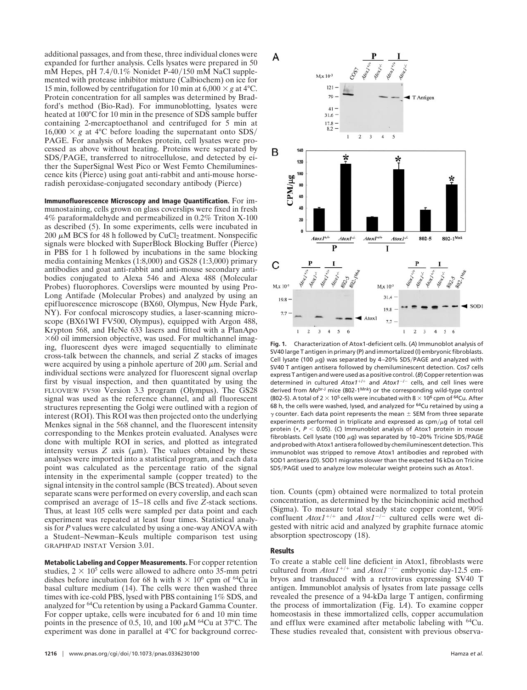additional passages, and from these, three individual clones were expanded for further analysis. Cells lysates were prepared in 50 mM Hepes, pH  $7.4/0.1\%$  Nonidet P-40/150 mM NaCl supplemented with protease inhibitor mixture (Calbiochem) on ice for 15 min, followed by centrifugation for 10 min at  $6,000 \times g$  at 4°C. Protein concentration for all samples was determined by Bradford's method (Bio-Rad). For immunoblotting, lysates were heated at 100°C for 10 min in the presence of SDS sample buffer containing 2-mercaptoethanol and centrifuged for 5 min at  $16,000 \times g$  at 4°C before loading the supernatant onto SDS/ PAGE. For analysis of Menkes protein, cell lysates were processed as above without heating. Proteins were separated by SDS/PAGE, transferred to nitrocellulose, and detected by either the SuperSignal West Pico or West Femto Chemiluminescence kits (Pierce) using goat anti-rabbit and anti-mouse horseradish peroxidase-conjugated secondary antibody (Pierce)

**Immunofluorescence Microscopy and Image Quantification.** For immunostaining, cells grown on glass coverslips were fixed in fresh 4% paraformaldehyde and permeabilized in 0.2% Triton X-100 as described (5). In some experiments, cells were incubated in 200  $\mu$ M BCS for 48 h followed by CuCl<sub>2</sub> treatment. Nonspecific signals were blocked with SuperBlock Blocking Buffer (Pierce) in PBS for 1 h followed by incubations in the same blocking media containing Menkes (1:8,000) and GS28 (1:3,000) primary antibodies and goat anti-rabbit and anti-mouse secondary antibodies conjugated to Alexa 546 and Alexa 488 (Molecular Probes) fluorophores. Coverslips were mounted by using Pro-Long Antifade (Molecular Probes) and analyzed by using an epifluorescence microscope (BX60, Olympus, New Hyde Park, NY). For confocal microscopy studies, a laser-scanning microscope (BX61WI FV500, Olympus), equipped with Argon 488, Krypton 568, and HeNe 633 lasers and fitted with a PlanApo  $\times$ 60 oil immersion objective, was used. For multichannel imaging, fluorescent dyes were imaged sequentially to eliminate cross-talk between the channels, and serial *Z* stacks of images were acquired by using a pinhole aperture of 200  $\mu$ m. Serial and individual sections were analyzed for fluorescent signal overlap first by visual inspection, and then quantitated by using the FLUOVIEW FV500 Version 3.3 program (Olympus). The GS28 signal was used as the reference channel, and all fluorescent structures representing the Golgi were outlined with a region of interest (ROI). This ROI was then projected onto the underlying Menkes signal in the 568 channel, and the fluorescent intensity corresponding to the Menkes protein evaluated. Analyses were done with multiple ROI in series, and plotted as integrated intensity versus  $Z$  axis  $(\mu m)$ . The values obtained by these analyses were imported into a statistical program, and each data point was calculated as the percentage ratio of the signal intensity in the experimental sample (copper treated) to the signal intensity in the control sample (BCS treated). About seven separate scans were performed on every coverslip, and each scan comprised an average of 15–18 cells and five *Z*-stack sections. Thus, at least 105 cells were sampled per data point and each experiment was repeated at least four times. Statistical analysis for *P* values were calculated by using a one-way ANOVA with a Student–Newman–Keuls multiple comparison test using GRAPHPAD INSTAT Version 3.01.

**Metabolic Labeling and Copper Measurements.** For copper retention studies,  $2 \times 10^5$  cells were allowed to adhere onto 35-mm petri dishes before incubation for 68 h with  $8 \times 10^6$  cpm of <sup>64</sup>Cu in basal culture medium (14). The cells were then washed three times with ice-cold PBS, lysed with PBS containing 1% SDS, and analyzed for 64Cu retention by using a Packard Gamma Counter. For copper uptake, cells were incubated for 6 and 10 min time points in the presence of 0.5, 10, and 100  $\mu$ M <sup>64</sup>Cu at 37°C. The experiment was done in parallel at 4°C for background correc-



**Fig. 1.** Characterization of Atox1-deficient cells. (*A*) Immunoblot analysis of SV40 large T antigen in primary (P) and immortalized (I) embryonic fibroblasts. Cell lysate (100  $\mu$ g) was separated by 4-20% SDS/PAGE and analyzed with SV40 T antigen antisera followed by chemiluminescent detection. Cos7 cells express T antigen and were used as a positive control. (*B*) Copper retention was determined in cultured Atox1<sup>+/+</sup> and Atox1<sup>-/-</sup> cells, and cell lines were derived from *Mo*br-J mice (802-1Mnk) or the corresponding wild-type control (802-5). A total of 2  $\times$  10<sup>5</sup> cells were incubated with 8  $\times$  10<sup>6</sup> cpm of <sup>64</sup>Cu. After 68 h, the cells were washed, lysed, and analyzed for 64Cu retained by using a  $\gamma$  counter. Each data point represents the mean  $\pm$  SEM from three separate experiments performed in triplicate and expressed as  $cpm/\mu q$  of total cell protein (**\***, *P* 0.05). (*C*) Immunoblot analysis of Atox1 protein in mouse fibroblasts. Cell lysate (100  $\mu$ g) was separated by 10–20% Tricine SDS/PAGE and probed with Atox1 antisera followed by chemiluminescent detection. This immunoblot was stripped to remove Atox1 antibodies and reprobed with SOD1 antisera (*D*). SOD1 migrates slower than the expected 16 kDa on Tricine SDS/PAGE used to analyze low molecular weight proteins such as Atox1.

tion. Counts (cpm) obtained were normalized to total protein concentration, as determined by the bicinchoninic acid method (Sigma). To measure total steady state copper content, 90% confluent  $Atox1^{+/+}$  and  $Atox1^{-/-}$  cultured cells were wet digested with nitric acid and analyzed by graphite furnace atomic absorption spectroscopy (18).

## **Results**

To create a stable cell line deficient in Atox1, fibroblasts were cultured from  $Atox1^{+/+}$  and  $Atox1^{-/-}$  embryonic day-12.5 embryos and transduced with a retrovirus expressing SV40 T antigen. Immunoblot analysis of lysates from late passage cells revealed the presence of a 94-kDa large T antigen, confirming the process of immortalization (Fig. 1*A*). To examine copper homeostasis in these immortalized cells, copper accumulation and efflux were examined after metabolic labeling with 64Cu. These studies revealed that, consistent with previous observa-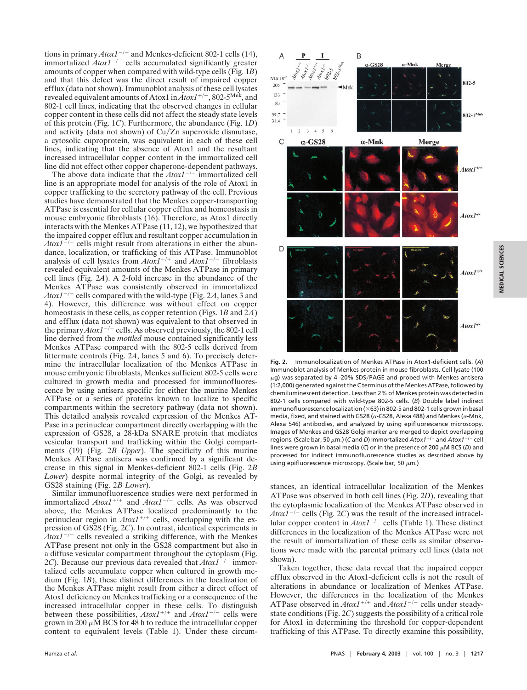tions in primary  $A\tau/\gamma$  and Menkes-deficient 802-1 cells (14), immortalized  $A\text{to}x1^{-/-}$  cells accumulated significantly greater amounts of copper when compared with wild-type cells (Fig. 1*B*) and that this defect was the direct result of impaired copper efflux (data not shown). Immunoblot analysis of these cell lysates revealed equivalent amounts of Atox1 in  $Atox1^{+/+}$ , 802-5<sup>Mnk</sup>, and 802-1 cell lines, indicating that the observed changes in cellular copper content in these cells did not affect the steady state levels of this protein (Fig. 1*C*). Furthermore, the abundance (Fig. 1*D*) and activity (data not shown) of  $Cu/Zn$  superoxide dismutase, a cytosolic cuproprotein, was equivalent in each of these cell lines, indicating that the absence of Atox1 and the resultant increased intracellular copper content in the immortalized cell line did not effect other copper chaperone-dependent pathways.

The above data indicate that the  $A\text{to}x1^{-/-}$  immortalized cell line is an appropriate model for analysis of the role of Atox1 in copper trafficking to the secretory pathway of the cell. Previous studies have demonstrated that the Menkes copper-transporting ATPase is essential for cellular copper efflux and homeostasis in mouse embryonic fibroblasts (16). Therefore, as Atox1 directly interacts with the Menkes ATPase (11, 12), we hypothesized that the impaired copper efflux and resultant copper accumulation in  $A\tau/\tau$  cells might result from alterations in either the abundance, localization, or trafficking of this ATPase. Immunoblot analysis of cell lysates from  $A\tau \alpha \chi I^{+/+}$  and  $A\tau \alpha \chi I^{-/-}$  fibroblasts revealed equivalent amounts of the Menkes ATPase in primary cell lines (Fig. 2*A*). A 2-fold increase in the abundance of the Menkes ATPase was consistently observed in immortalized  $A\text{to}tI^{-/-}$  cells compared with the wild-type (Fig. 2A, lanes 3 and 4). However, this difference was without effect on copper homeostasis in these cells, as copper retention (Figs. 1*B* and 2*A*) and efflux (data not shown) was equivalent to that observed in the primary  $A\text{to}1^{-/-}$  cells. As observed previously, the 802-1 cell line derived from the *mottled* mouse contained significantly less Menkes ATPase compared with the 802-5 cells derived from littermate controls (Fig. 2*A*, lanes 5 and 6). To precisely determine the intracellular localization of the Menkes ATPase in mouse embryonic fibroblasts, Menkes sufficient 802-5 cells were cultured in growth media and processed for immunofluorescence by using antisera specific for either the murine Menkes ATPase or a series of proteins known to localize to specific compartments within the secretory pathway (data not shown). This detailed analysis revealed expression of the Menkes AT-Pase in a perinuclear compartment directly overlapping with the expression of GS28, a 28-kDa SNARE protein that mediates vesicular transport and trafficking within the Golgi compartments (19) (Fig. 2*B Upper*). The specificity of this murine Menkes ATPase antisera was confirmed by a significant decrease in this signal in Menkes-deficient 802-1 cells (Fig. 2*B Lower*) despite normal integrity of the Golgi, as revealed by GS28 staining (Fig. 2*B Lower*).

Similar immunofluorescence studies were next performed in immortalized  $A\text{to}x1^{+/+}$  and  $A\text{to}x1^{-/-}$  cells. As was observed above, the Menkes ATPase localized predominantly to the perinuclear region in  $Atox1^{+/+}$  cells, overlapping with the expression of GS28 (Fig. 2*C*). In contrast, identical experiments in  $A\text{to}x1^{-/-}$  cells revealed a striking difference, with the Menkes ATPase present not only in the GS28 compartment but also in a diffuse vesicular compartment throughout the cytoplasm (Fig. 2*C*). Because our previous data revealed that  $A\text{to}t^{-1}$  immortalized cells accumulate copper when cultured in growth medium (Fig. 1*B*), these distinct differences in the localization of the Menkes ATPase might result from either a direct effect of Atox1 deficiency on Menkes trafficking or a consequence of the increased intracellular copper in these cells. To distinguish between these possibilities,  $A\text{to}xI^{+/+}$  and  $A\text{to}xI^{-/-}$  cells were grown in 200  $\mu$ M BCS for 48 h to reduce the intracellular copper content to equivalent levels (Table 1). Under these circum-



**Fig. 2.** Immunolocalization of Menkes ATPase in Atox1-deficient cells. (*A*) Immunoblot analysis of Menkes protein in mouse fibroblasts. Cell lysate (100  $\mu$ g) was separated by 4-20% SDS/PAGE and probed with Menkes antisera (1:2,000) generated against the C terminus of the Menkes ATPase, followed by chemiluminescent detection. Less than 2% of Menkes protein was detected in 802-1 cells compared with wild-type 802-5 cells. (*B*) Double label indirect immunofluorescence localization ( $\times$ 63) in 802-5 and 802-1 cells grown in basal media, fixed, and stained with GS28 ( $\alpha$ -GS28, Alexa 488) and Menkes ( $\alpha$ -Mnk, Alexa 546) antibodies, and analyzed by using epifluorescence microscopy. Images of Menkes and GS28 Golgi marker are merged to depict overlapping regions. (Scale bar, 50  $\mu$ m.) (C and *D*) Immortalized *Atox1*<sup>+/+</sup> and *Atox1*<sup>-/-</sup> cell lines were grown in basal media (C) or in the presence of 200  $\mu$ M BCS (D) and processed for indirect immunofluorescence studies as described above by using epifluorescence microscopy. (Scale bar, 50  $\mu$ m.)

stances, an identical intracellular localization of the Menkes ATPase was observed in both cell lines (Fig. 2*D*), revealing that the cytoplasmic localization of the Menkes ATPase observed in  $A\alpha xI^{-1}$  cells (Fig. 2*C*) was the result of the increased intracellular copper content in  $A\text{to}xI^{-/-}$  cells (Table 1). These distinct differences in the localization of the Menkes ATPase were not the result of immortalization of these cells as similar observations were made with the parental primary cell lines (data not shown).

Taken together, these data reveal that the impaired copper efflux observed in the Atox1-deficient cells is not the result of alterations in abundance or localization of Menkes ATPase. However, the differences in the localization of the Menkes ATPase observed in  $Atox1^{+/+}$  and  $Atox1^{-/-}$  cells under steadystate conditions (Fig. 2*C*) suggests the possibility of a critical role for Atox1 in determining the threshold for copper-dependent trafficking of this ATPase. To directly examine this possibility,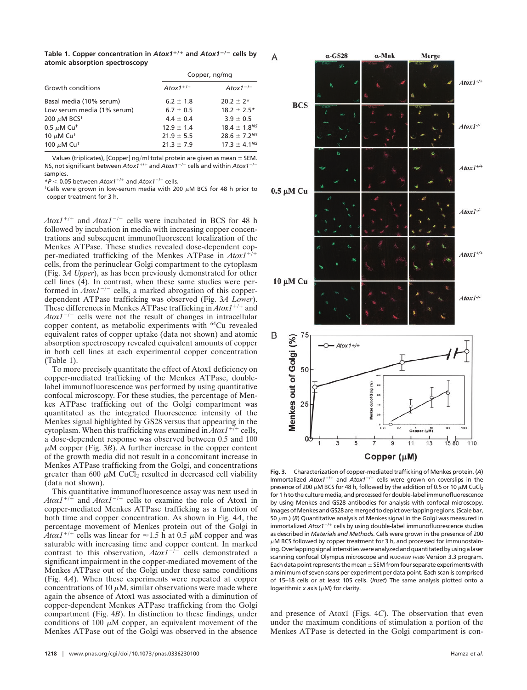**Table 1. Copper concentration in** *Atox1***/ and** *Atox1*-**/**- **cells by atomic absorption spectroscopy**

| Growth conditions            | Copper, ng/mg  |                     |
|------------------------------|----------------|---------------------|
|                              | $Atox1^{+/+}$  | Atox $1^{-/-}$      |
| Basal media (10% serum)      | $6.2 \pm 1.8$  | $20.2 \pm 2*$       |
| Low serum media (1% serum)   | $6.7 \pm 0.5$  | $18.2 \pm 2.5*$     |
| 200 $\mu$ M BCS <sup>+</sup> | $4.4 \pm 0.4$  | $3.9 \pm 0.5$       |
| 0.5 $\mu$ M Cu <sup>+</sup>  | $12.9 \pm 1.4$ | $18.4 \pm 1.8^{NS}$ |
| 10 $\mu$ M Cu <sup>+</sup>   | $21.9 \pm 5.5$ | $28.6 \pm 7.2^{NS}$ |
| 100 $\mu$ M Cu <sup>+</sup>  | $21.3 \pm 7.9$ | $17.3 \pm 4.1^{NS}$ |

Values (triplicates), [Copper] ng/ml total protein are given as mean  $\pm$  SEM. NS, not significant between Atox1<sup>+/+</sup> and Atox1<sup>-/-</sup> cells and within Atox1<sup>-/-</sup> samples.

\*P < 0.05 between Atox1<sup>+/+</sup> and Atox1<sup>-/-</sup> cells.

<sup>†</sup>Cells were grown in low-serum media with 200  $\mu$ M BCS for 48 h prior to copper treatment for 3 h.

 $A$ tox1<sup>+/+</sup> and  $A$ tox1<sup>-/-</sup> cells were incubated in BCS for 48 h followed by incubation in media with increasing copper concentrations and subsequent immunofluorescent localization of the Menkes ATPase. These studies revealed dose-dependent copper-mediated trafficking of the Menkes ATPase in  $Atox1^{+7+}$ cells, from the perinuclear Golgi compartment to the cytoplasm (Fig. 3*A Upper*), as has been previously demonstrated for other cell lines (4). In contrast, when these same studies were performed in  $Atox1^{-/-}$  cells, a marked abrogation of this copperdependent ATPase trafficking was observed (Fig. 3*A Lower*). These differences in Menkes ATPase trafficking in  $Atox1^{+/+}$  and  $A\text{to}t^{-/-}$  cells were not the result of changes in intracellular copper content, as metabolic experiments with 64Cu revealed equivalent rates of copper uptake (data not shown) and atomic absorption spectroscopy revealed equivalent amounts of copper in both cell lines at each experimental copper concentration (Table 1).

To more precisely quantitate the effect of Atox1 deficiency on copper-mediated trafficking of the Menkes ATPase, doublelabel immunofluorescence was performed by using quantitative confocal microscopy. For these studies, the percentage of Menkes ATPase trafficking out of the Golgi compartment was quantitated as the integrated fluorescence intensity of the Menkes signal highlighted by GS28 versus that appearing in the cytoplasm. When this trafficking was examined in  $Atox1^{+7+}$  cells, a dose-dependent response was observed between 0.5 and 100  $\mu$ M copper (Fig. 3*B*). A further increase in the copper content of the growth media did not result in a concomitant increase in Menkes ATPase trafficking from the Golgi, and concentrations greater than 600  $\mu$ M CuCl<sub>2</sub> resulted in decreased cell viability (data not shown).

This quantitative immunofluorescence assay was next used in  $A$ tox1<sup>+/+</sup> and  $A$ tox1<sup>-/-</sup> cells to examine the role of Atox1 in copper-mediated Menkes ATPase trafficking as a function of both time and copper concentration. As shown in Fig. 4*A*, the percentage movement of Menkes protein out of the Golgi in *Atox1*<sup>+/+</sup> cells was linear for  $\approx$ 1.5 h at 0.5  $\mu$ M copper and was saturable with increasing time and copper content. In marked contrast to this observation,  $A\text{to}xI^{-\bar{j}-}$  cells demonstrated a significant impairment in the copper-mediated movement of the Menkes ATPase out of the Golgi under these same conditions (Fig. 4*A*). When these experiments were repeated at copper concentrations of 10  $\mu$ M, similar observations were made where again the absence of Atox1 was associated with a diminution of copper-dependent Menkes ATPase trafficking from the Golgi compartment (Fig. 4*B*). In distinction to these findings, under conditions of 100  $\mu$ M copper, an equivalent movement of the Menkes ATPase out of the Golgi was observed in the absence



Copper  $(\mu M)$ 

**Fig. 3.** Characterization of copper-mediated trafficking of Menkes protein. (*A*) Immortalized Atox1<sup>+/+</sup> and Atox1<sup>-/-</sup> cells were grown on coverslips in the presence of 200  $\mu$ M BCS for 48 h, followed by the addition of 0.5 or 10  $\mu$ M CuCl<sub>2</sub> for 1 h to the culture media, and processed for double-label immunofluorescence by using Menkes and GS28 antibodies for analysis with confocal microscopy. Images of Menkes and GS28 are merged to depict overlapping regions. (Scale bar, 50  $\mu$ m.) (*B*) Quantitative analysis of Menkes signal in the Golgi was measured in immortalized Atox1<sup>+/+</sup> cells by using double-label immunofluorescence studies as described in *Materials and Methods*. Cells were grown in the presence of 200  $\mu$ M BCS followed by copper treatment for 3 h, and processed for immunostaining. Overlapping signal intensities were analyzed and quantitated by using a laser scanning confocal Olympus microscope and FLUOVIEW FV500 Version 3.3 program. Each data point represents the mean  $\pm$  SEM from four separate experiments with a minimum of seven scans per experiment per data point. Each scan is comprised of 15–18 cells or at least 105 cells. (*Inset*) The same analysis plotted onto a logarithmic  $x$  axis ( $\mu$ M) for clarity.

and presence of Atox1 (Figs. 4*C*). The observation that even under the maximum conditions of stimulation a portion of the Menkes ATPase is detected in the Golgi compartment is con-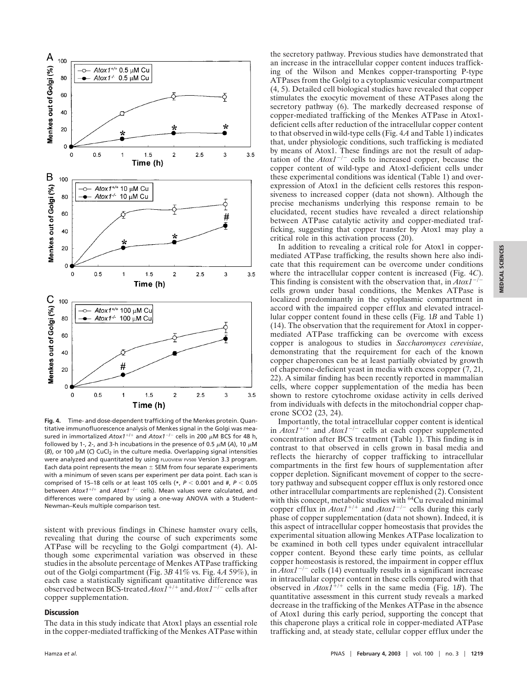

**Fig. 4.** Time- and dose-dependent trafficking of the Menkes protein. Quantitative immunofluorescence analysis of Menkes signal in the Golgi was measured in immortalized Atox1<sup>+/+</sup> and Atox1<sup>-/-</sup> cells in 200 µM BCS for 48 h, followed by 1-, 2-, and 3-h incubations in the presence of 0.5  $\mu$ M (A), 10  $\mu$ M ( $B$ ), or 100  $\mu$ M (C) CuCl<sub>2</sub> in the culture media. Overlapping signal intensities Were analyzed and quantitated by using FLUOVIEW FV500 Version 3.3 program. Each data point represents the mean  $\pm$  SEM from four separate experiments with a minimum of seven scans per experiment per data point. Each scan is comprised of 15-18 cells or at least 105 cells (\*,  $P < 0.001$  and #,  $P < 0.05$ between Atox1<sup>+/+</sup> and Atox1<sup>-/-</sup> cells). Mean values were calculated, and differences were compared by using a one-way ANOVA with a Student– Newman–Keuls multiple comparison test.

sistent with previous findings in Chinese hamster ovary cells, revealing that during the course of such experiments some ATPase will be recycling to the Golgi compartment (4). Although some experimental variation was observed in these studies in the absolute percentage of Menkes ATPase trafficking out of the Golgi compartment (Fig. 3*B* 41% vs. Fig. 4*A* 59%), in each case a statistically significant quantitative difference was observed between BCS-treated  $AtoxI^{+/+}$  and  $AtoxI^{-/-}$  cells after copper supplementation.

## **Discussion**

The data in this study indicate that Atox1 plays an essential role in the copper-mediated trafficking of the Menkes ATPase within the secretory pathway. Previous studies have demonstrated that an increase in the intracellular copper content induces trafficking of the Wilson and Menkes copper-transporting P-type ATPases from the Golgi to a cytoplasmic vesicular compartment (4, 5). Detailed cell biological studies have revealed that copper stimulates the exocytic movement of these ATPases along the secretory pathway (6). The markedly decreased response of copper-mediated trafficking of the Menkes ATPase in Atox1 deficient cells after reduction of the intracellular copper content to that observed in wild-type cells (Fig. 4*A* and Table 1) indicates that, under physiologic conditions, such trafficking is mediated by means of Atox1. These findings are not the result of adaptation of the  $A\text{to}1^{-/-}$  cells to increased copper, because the copper content of wild-type and Atox1-deficient cells under these experimental conditions was identical (Table 1) and overexpression of Atox1 in the deficient cells restores this responsiveness to increased copper (data not shown). Although the precise mechanisms underlying this response remain to be elucidated, recent studies have revealed a direct relationship between ATPase catalytic activity and copper-mediated trafficking, suggesting that copper transfer by Atox1 may play a critical role in this activation process (20).

In addition to revealing a critical role for Atox1 in coppermediated ATPase trafficking, the results shown here also indicate that this requirement can be overcome under conditions where the intracellular copper content is increased (Fig. 4*C*). This finding is consistent with the observation that, in *Atox1<sup>-/-</sup>* cells grown under basal conditions, the Menkes ATPase is localized predominantly in the cytoplasmic compartment in accord with the impaired copper efflux and elevated intracellular copper content found in these cells (Fig. 1*B* and Table 1) (14). The observation that the requirement for Atox1 in coppermediated ATPase trafficking can be overcome with excess copper is analogous to studies in *Saccharomyces cerevisiae*, demonstrating that the requirement for each of the known copper chaperones can be at least partially obviated by growth of chaperone-deficient yeast in media with excess copper (7, 21, 22). A similar finding has been recently reported in mammalian cells, where copper supplementation of the media has been shown to restore cytochrome oxidase activity in cells derived from individuals with defects in the mitochondrial copper chaperone SCO2 (23, 24).

Importantly, the total intracellular copper content is identical in  $A\tau$ tox1<sup>+/+</sup> and  $A\tau$ tox1<sup>-/-</sup> cells at each copper supplemented concentration after BCS treatment (Table 1). This finding is in contrast to that observed in cells grown in basal media and reflects the hierarchy of copper trafficking to intracellular compartments in the first few hours of supplementation after copper depletion. Significant movement of copper to the secretory pathway and subsequent copper efflux is only restored once other intracellular compartments are replenished (2). Consistent with this concept, metabolic studies with <sup>64</sup>Cu revealed minimal copper efflux in  $Atox1^{+/+}$  and  $Atox1^{-/-}$  cells during this early phase of copper supplementation (data not shown). Indeed, it is this aspect of intracellular copper homeostasis that provides the experimental situation allowing Menkes ATPase localization to be examined in both cell types under equivalent intracellular copper content. Beyond these early time points, as cellular copper homeostasis is restored, the impairment in copper efflux in  $A\text{to}x1^{-/-}$  cells (14) eventually results in a significant increase in intracellular copper content in these cells compared with that observed in  $Atox\overline{I}^{+/+}$  cells in the same media (Fig. 1*B*). The quantitative assessment in this current study reveals a marked decrease in the trafficking of the Menkes ATPase in the absence of Atox1 during this early period, supporting the concept that this chaperone plays a critical role in copper-mediated ATPase trafficking and, at steady state, cellular copper efflux under the